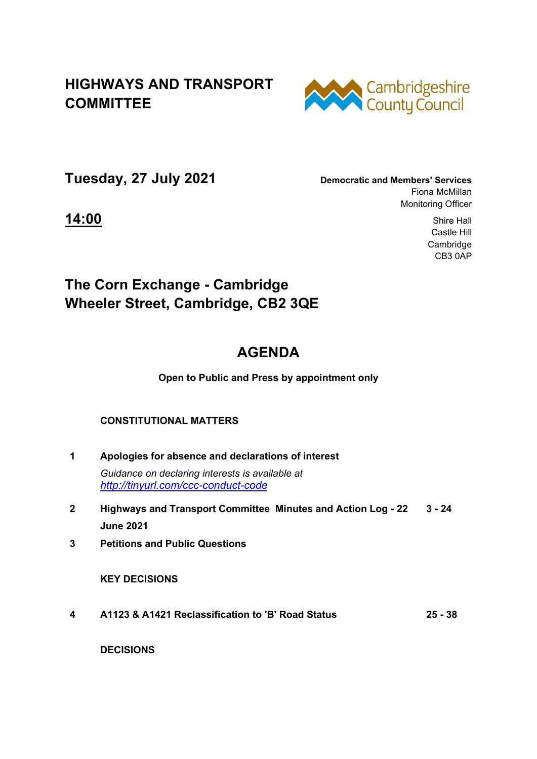### **HIGHWAYS AND TRANSPORT COMMITTEE**



**Tuesday, 27 July 2021 Democratic and Members' Services**

Fiona McMillan Monitoring Officer

**14:00** Shire Hall Castle Hill Cambridge CB3 0AP

## **The Corn Exchange - Cambridge Wheeler Street, Cambridge, CB2 3QE**

# **AGENDA**

#### **Open to Public and Press by appointment only**

### **CONSTITUTIONAL MATTERS**

- **1 Apologies for absence and declarations of interest**  *Guidance on declaring interests is available at <http://tinyurl.com/ccc-conduct-code>*
- **2 Highways and Transport Committee Minutes and Action Log 22 June 2021 3 - 24**
- **3 Petitions and Public Questions**

 **KEY DECISIONS** 

**4 A1123 & A1421 Reclassification to 'B' Road Status 25 - 38**

 **DECISIONS**